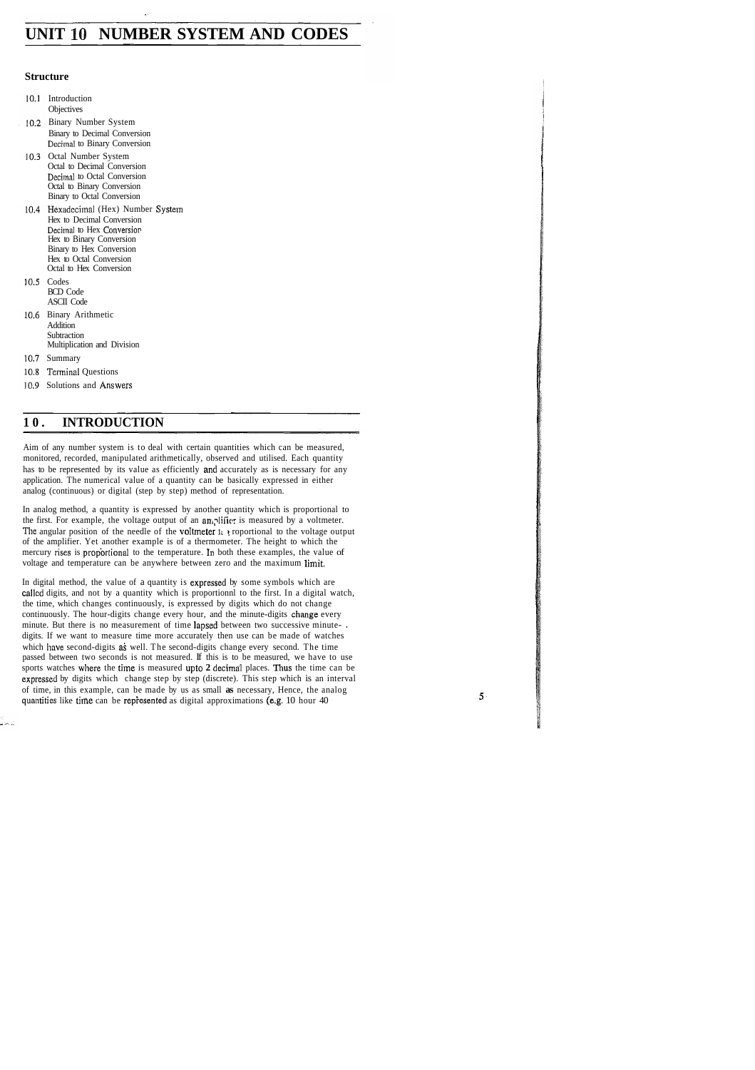# **UNIT 10 NUMBER SYSTEM AND CODES**

#### **Structure**

- 10.1 Introduction **Objectives**
- 10.2 Binary Number System Binary to Decimal Conversion Decimal to Binary Conversion
- 10.3 Octal Number System Octal to Decimal Conversion Decimal to Octal Conversion Octal to Binary Conversion Binary to Octal Conversion
- 10.4 Hexadecimal (Hex) Number System Hex to Decimal Conversion Decimal to Hex Conversion Hex to Binary Conversion Binary to Hex Conversion Hex to Octal Conversion Octal to Hex Conversion
- 10.5 Codes BCD Code ASCII Code
- 10.6 Binary Arithmetic Addition **Subtraction** Multiplication and Division
- 10.7 Summary
- 10.8 Terminal Questions
- 10.9 Solutions and Answers

#### **10. INTRODUCTION**

Aim of any number system is to deal with certain quantities which can be measured, monitored, recorded, manipulated arithmetically, observed and utilised. Each quantity has to be represented by its value as efficiently and accurately as is necessary for any application. The numerical value of a quantity can be basically expressed in either analog (continuous) or digital (step by step) method of representation.

In analog method, a quantity is expressed by another quantity which is proportional to the first. For example, the voltage output of an anglific; is measured by a voltmeter. The angular position of the needle of the **voltmeter 1: i** roportional to the voltage output of the amplifier. Yet another example is of a thermometer. The height to which the mercury rises is proportional to the temperature. In both these examples, the value of voltage and temperature can be anywhere between zero and the maximum limit.

In digital method, the value of a quantity is expressed by some symbols which are callcd digits, and not by a quantity which is proportionnl to the first. In a digital watch, the time, which changes continuously, is expressed by digits which do not change continuously. The hour-digits change every hour, and the minute-digits change every minute. But there is no measurement of time lapsed between two successive minute- . digits. If we want to measure time more accurately then use can be made of watches which have second-digits as well. The second-digits change every second. The time passed between two seconds is not measured. If this is to be measured, we have to use sports watches where the time is measured upto **2** dccimal places. Thus the time can be expressed by digits which change step by step (discrete). This step which is an interval of time, in this example, can be made by us as small **as** necessary, Hence, the analog quantities like time can be represented as digital approximations (e.g. 10 hour 40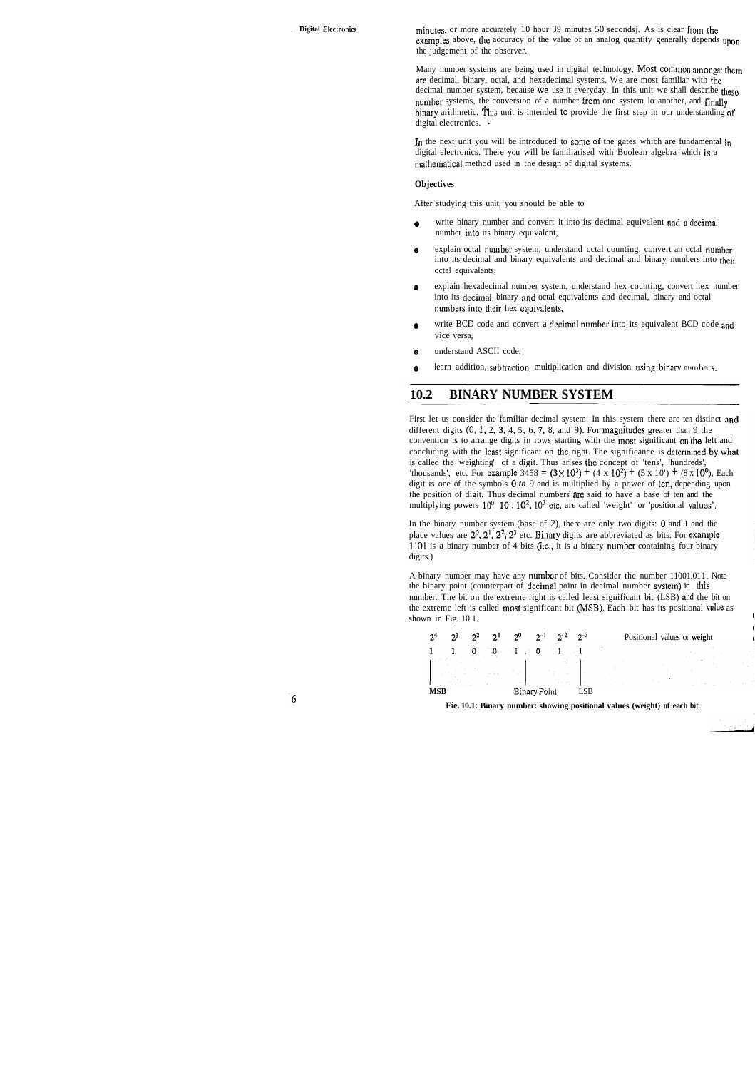, **Digital Electronics minutes**, or more accurately 10 hour 39 minutes 50 secondsj. As is clear from the examples above, the accuracy of the value of an analog quantity generally depends upon the judgement of the observer.

> Many number systems are being used in digital technology. Most common amongst them are decimal, binary, octal, and hexadecimal systems. We are most familiar with the decimal number system, because we use it everyday. In this unit we shall describe these number systems, the conversion of a number from one system lo another, and finally binary arithmetic. This unit is intended to provide the first step in our understanding of digital electronics. •

In the next unit you will be introduced to some of the gates which are fundamental in digital electronics. There you will be familiarised with Boolean algebra which is a mathematical method used in the design of digital systems.

#### **Objectives**

After studying this unit, you should be able to

- write binary number and convert it into its decimal equivalent and a decimal number into its binary equivalent,
- 0 explain octal number system, understand octal counting, convert an octal number into its decimal and binary equivalents and decimal and binary numbers into their octal equivalents,
- explain hexadecimal number system, understand hex counting, convert hex number into its dccimal, binary and octal equivalents and decimal, binary and octal numbers into thcir hex equivalents,
- **e** write BCD code and convert a decimal number into its equivalent BCD code and vice versa,
- **e** understand ASCII code,
- learn addition, subtraction, multiplication and division using binary numbers.

#### **10.2 BINARY NUMBER SYSTEM**

First let us consider the familiar decimal system. In this system there are ten distinct and different digits (0, 1, 2, **3,** 4, 5, 6, **7,** 8, and 9). For lnagnitudcs greater than 9 the convention is to arrange digits in rows starting with the most significant on the left and concluding with the least significant on the right. The significance is determined by what is called the 'weighting' of a digit. Thus arises the concept of 'tens', 'hundreds', 'thousands', etc. For example 3458 =  $(3 \times 10^3) + (4 \times 10^2) + (5 \times 10^7) + (8 \times 10^6)$ . Each digit is one of the symbols *0 to* 9 and is multiplied by a power of ten, depending upon the position of digit. Thus decimal numbers me said to have a base of ten and the multiplying powers  $10^0$ ,  $10^1$ ,  $10^2$ ,  $10^3$  etc. are called 'weight' or 'positional values'.

In the binary number system (base of 2), there are only two digits: 0 and 1 and the place values are  $2^0$ ,  $2^1$ ,  $2^2$ ,  $2^3$  etc. Binary digits are abbreviated as bits. For example 1101 is a binary number of 4 bits (i.e., it is a binary number containing four binary digits.)

A binary number may have any number of bits. Consider the number 11001.011. Note the binary point (counterpart of decimal point in decimal number system) in this number. The bit on the extreme right is called least significant bit (LSB) and the bit on the extreme left is called most significant bit ( $MSB$ ). Each bit has its positional value as shown in Fig. 10.1.

|            | $2^3$<br>$2^2$ | $2^1$ | $2^{0}$                                                                                                                                                                                                                                                                                                                                                                                                                  | $2^{-1}$ $2^{-2}$    | $2^{-3}$ | Positional values or weight |
|------------|----------------|-------|--------------------------------------------------------------------------------------------------------------------------------------------------------------------------------------------------------------------------------------------------------------------------------------------------------------------------------------------------------------------------------------------------------------------------|----------------------|----------|-----------------------------|
|            |                |       | $1 \t1 \t1 \t0 \t0 \t0 \t1 \t0 \t1 \t1$<br>en de l'estat de l'article de l'article de l'article de l'article de l'article de l'article de l'article de l'<br>Le contradicion de l'article de l'article de l'article de l'article de l'article de l'article de l'article de                                                                                                                                               |                      |          |                             |
| <b>MSB</b> |                |       | $\label{eq:1} \frac{1}{\sqrt{2\pi}}\int_{\mathbb{R}^3}\frac{1}{\sqrt{2\pi}}\int_{\mathbb{R}^3}\frac{1}{\sqrt{2\pi}}\int_{\mathbb{R}^3}\frac{1}{\sqrt{2\pi}}\int_{\mathbb{R}^3}\frac{1}{\sqrt{2\pi}}\int_{\mathbb{R}^3}\frac{1}{\sqrt{2\pi}}\int_{\mathbb{R}^3}\frac{1}{\sqrt{2\pi}}\int_{\mathbb{R}^3}\frac{1}{\sqrt{2\pi}}\int_{\mathbb{R}^3}\frac{1}{\sqrt{2\pi}}\int_{\mathbb{R}^3}\frac{1}{\$<br><b>Binary Point</b> | and the state of the | LSB      |                             |

**Fie. 10.1: Binary number: showing positional values (weight) of each bit.**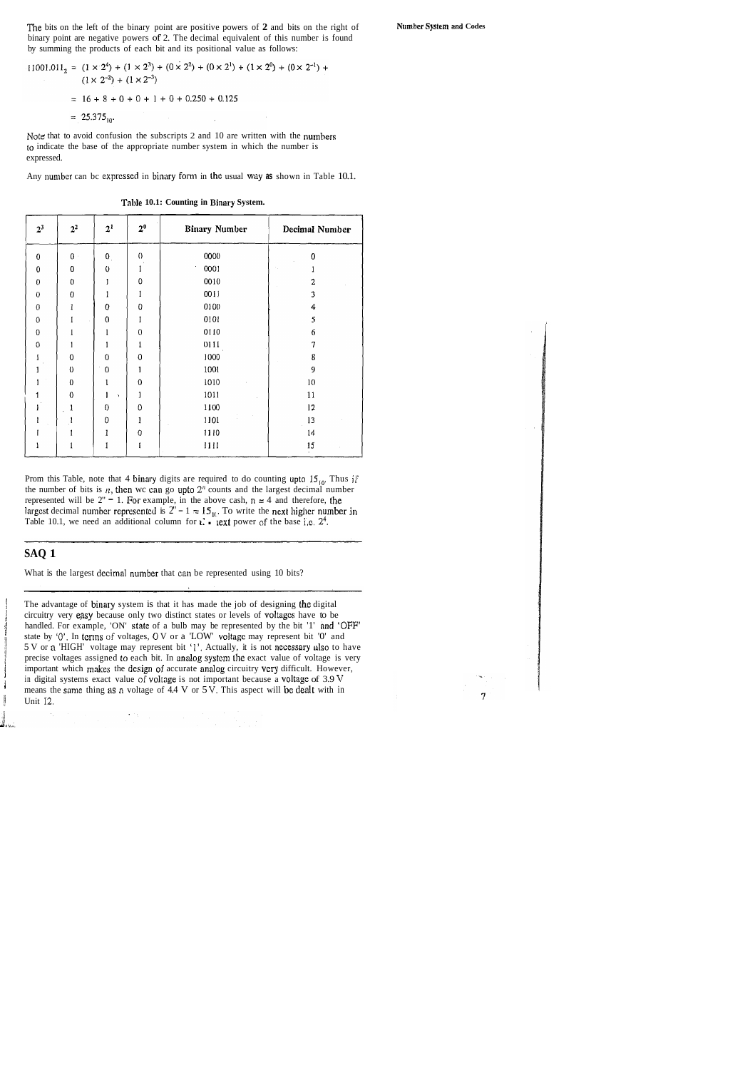The bits on the left of the binary point are positive powers of **2** and bits on the right of binary point are negative powers of 2. The decimal equivalent of this number is found by summing the products of each bit and its positional value as follows:

 $\sim$   $\sim$ 

Note that to avoid confusion the subscripts 2 and 10 are written with the numbers to indicate the base of the appropriate number system in which the number is expressed.

Any number can be expressed in binary form in the usual way as shown in Table 10.1.

| 2 <sup>3</sup>   | $2^2$     | 2 <sup>1</sup>       | $2^0$            | <b>Binary Number</b> | <b>Decimal Number</b> |
|------------------|-----------|----------------------|------------------|----------------------|-----------------------|
| 0                | $0\,$     | $\mathbf{0}_{\perp}$ | 0                | 0000                 | $\mathbf 0$           |
| 0                | 0         | 0                    |                  | 0001                 |                       |
| $\theta$         | 0         | J                    | 0                | 0010                 | 2                     |
| $\pmb{0}$        | 0         | ı                    |                  | 0011                 | 3                     |
| $\boldsymbol{0}$ | 1         | 0                    | 0                | 0100                 | 4                     |
| 0                | I         | $\boldsymbol{0}$     |                  | 0101                 | 5                     |
| 0                | 1         | l                    | $\boldsymbol{0}$ | 0110                 | 6                     |
| $\boldsymbol{0}$ | 1         | 1                    |                  | 0111                 | 7                     |
|                  | 0         | $\Omega$             | $\theta$         | 1000                 | 8                     |
|                  | 0         | $\mathbf 0$          |                  | 1001                 | 9                     |
|                  | $\pmb{0}$ |                      | 0                | 1010                 | 10                    |
|                  | 0         | v                    | 1                | 1011                 | 11                    |
|                  | l         | $\theta$             | 0                | 1100                 | 12                    |
|                  |           | 0                    |                  | 1101                 | 13                    |
|                  |           | l                    | 0                | 1110                 | 14                    |
|                  |           | 1                    |                  | 1111                 | 15                    |

**Table 10.1: Counting in Binary System.** 

Prom this Table, note that 4 binary digits are required to do counting upto  $15_{10}$ . Thus if the number of bits is  $n$ , then wc can go upto  $2<sup>n</sup>$  counts and the largest decimal number represented will be  $2" = 1$ . For example, in the above cash,  $n = 4$  and therefore, the largest decimal number represented is  $2^n - 1 = 15_{10}$ . To write the next higher number in Table 10.1, we need an additional column for  $\mathbf{i} \cdot \mathbf{r}$  lext power of the base i,e.  $2^4$ .

#### **SAQ 1**

What is the largest decimal number that can be represented using 10 bits?

The advantage of binary system is that it has made the job of designing the digital circuitry very easy because only two distinct states or levels of voltages have to be handled. For example, 'ON' state of a bulb may be represented by the bit '1' and 'OFF' state by '0'. In terms of voltages, 0 V or a 'LOW' voltage may represent bit '0' and 5 V or a 'HIGH' voltage may represent bit '1'. Actually, it is not necessary also to have precise voltages assigned to each bit. In analog system the exact value of voltage is very important which makes the design of accur precise voltages assigned co each bit. In analog systcm the exact value of voltage is very important which makes the design of accurate analog circuitry very difficult. However, in digital systems exact value of voltage is not important because a voltage of  $3.9$  V means the same thing as a voltage of  $4.4$  V or  $5$  V. This aspect will be dealt with in Unit 12.



**Number** *Systcn~* **and Codes** 

$$
11001.011_2 = (1 \times 2^4) + (1 \times 2^3) + (0 \times 2^2) + (0 \times 2^1) + (1 \times 2^0) + (0 \times 2^{-1}) + (1 \times 2^{-2}) + (1 \times 2^{-3})
$$
  
= 16 + 8 + 0 + 0 + 1 + 0 + 0.250 + 0.125  
= 25.375<sub>10</sub>.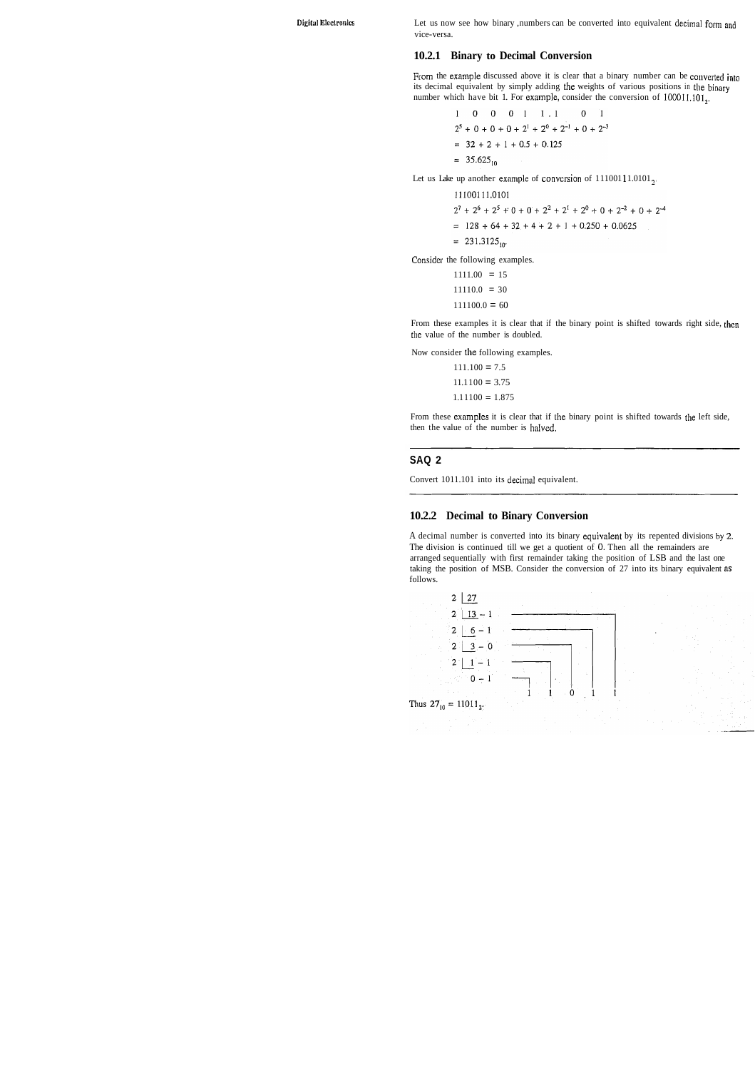**Digital Elcclronics** Let us now see how binary ,numbers can be converted into equivalent decimal form and vice-versa.

#### **10.2.1 Binary to Decimal Conversion**

From the example discussed above it is clear that a binary number can be converted into its decimal equivalent by simply adding the weights of various positions in the binary number which have bit 1. For example, consider the conversion of  $100011,101<sub>2</sub>$ .

$$
1 \t 0 \t 0 \t 1 \t 1 \t 0 \t 1
$$
  

$$
2^5 + 0 + 0 + 0 + 2^1 + 2^0 + 2^{-1} + 0 + 2^{-3}
$$
  

$$
= 32 + 2 + 1 + 0.5 + 0.125
$$
  

$$
= 35.625_{10}
$$

Let us Lake up another example of conversion of  $11100111.0101_{2}$ 

$$
11100111.0101
$$
  
2<sup>7</sup> + 2<sup>6</sup> + 2<sup>5</sup> + 0 + 0 + 2<sup>2</sup> + 2<sup>1</sup> + 2<sup>0</sup> + 0 + 2<sup>-2</sup> + 0 + 2<sup>-4</sup>  
= 128 + 64 + 32 + 4 + 2 + 1 + 0.250 + 0.0625  
= 231.3125<sub>10</sub>.

Consider the following examples.

 $1111.00 = 15$  $11110.0 = 30$  $111100.0 = 60$ 

From these examples it is clear that if the binary point is shifted towards right side, then tlie value of the number is doubled.

A decimal number is converted into its binary equivalent by its repented divisions by  $2$ . The division is continued till we get a quotient of 0. Then all the remainders are arranged sequentially with first remainder taking the position of LSB and the last one taking the position of MSB. Consider the conversion of 27 into its binary equivalent as follows.



Now consider the following examples.

| $111.100 = 7.5$   |  |
|-------------------|--|
| $11.1100 = 3.75$  |  |
| $1.11100 = 1.875$ |  |

From these examples it is clear that if the binary point is shifted towards the left side, then the value of the number is haIved.

#### **SAQ 2**

Convert 1011.101 into its decimal equivalent.

#### **10.2.2 Decimal to Binary Conversion**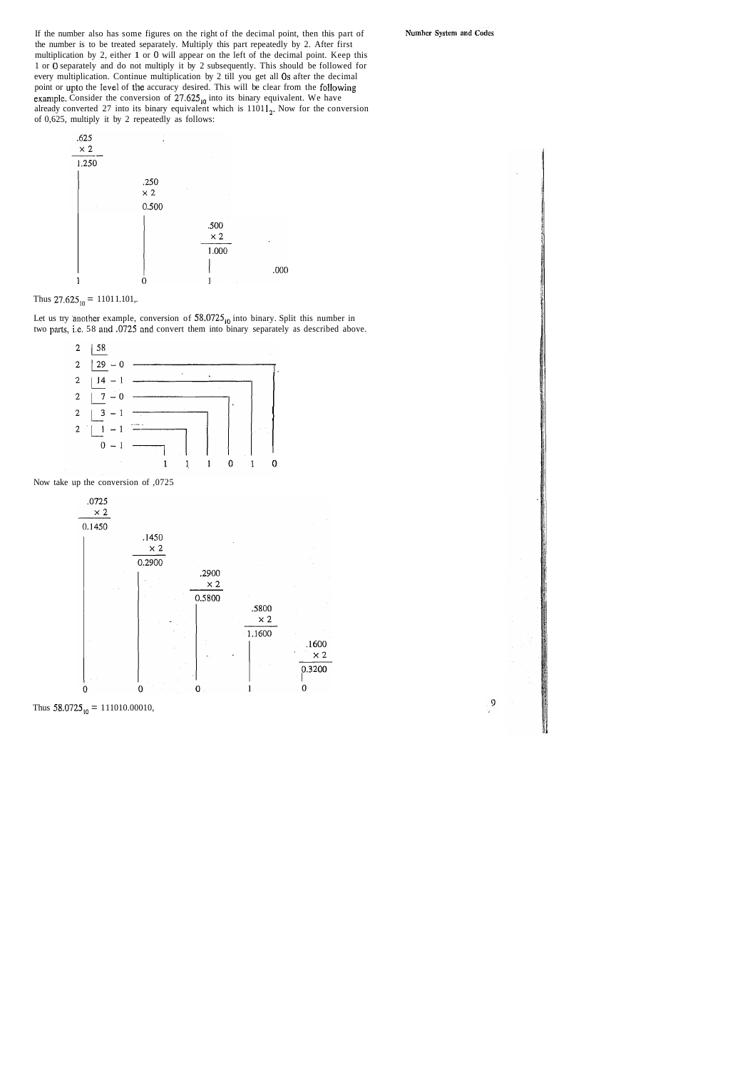If the number also has some figures on the right of the decimal point, then this part of the number is to be treated separately. Multiply this part repeatedly by 2. After first multiplication by 2, either 1 or 0 will appear on the left of the decimal point. Keep this 1 or 0 separately and do not multiply it by 2 subsequently. This should be followed for every multiplication. Continue multiplication by 2 till you get all 0s after the decimal point or upto the level of the accuracy desired. This will be clear from the following example. Consider the conversion of 27.625<sub>10</sub> into its binary equivalent. We have already converted 27 into its binary equivalent which is  $11011<sub>2</sub>$ . Now for the conversion of 0,625, multiply it by 2 repeatedly as follows:



Thus  $27.625_{10} = 11011.101$ ,.

Let us try another example, conversion of  $58.0725_{10}$  into binary. Split this number in two parts, i.e. 58 and ,0725 and convert them into binary separately as described above.



Now take up the conversion of ,0725



Thus  $58.0725_{10} = 111010.00010$ ,

Number System and Codes

 $\overline{9}$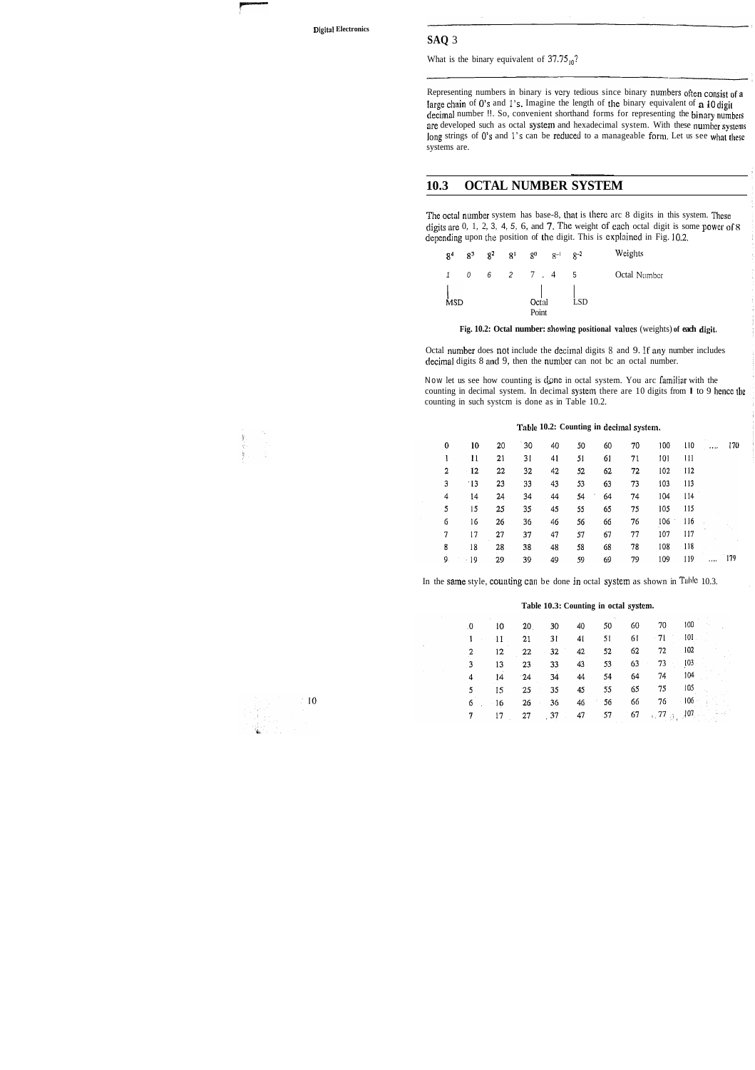What is the binary equivalent of  $37.75_{10}$ ?

Representing numbers in binary is very tedious since binary numbers often consist of a large chain of 0's and 1's. Imagine the length of the binary equivalent of **a** 40 digit decimal number !!. So, convenient shorthand forms for representing the binary numbers are developed such as octal system and hexadecimal system. With these number systems long strings of 0's and 1's can be reduced to a manageable form. Let us see what these systems are. mand forms for repl<br>hexadecimal system<br>red to a manageable<br>**SYSTEM** 

#### **10.3 OCTAL NUMBER SYSTEM**

The octal number system has base-8, that is there arc 8 digits in this system. These digits are  $0, 1, 2, 3, 4, 5, 6,$  and 7. The weight of each octal digit is some power of  $8$ depending upon the position of the digit. This is explained in Fig. 10.2.

Now let us see how counting is done in octal system. You arc familiar with the counting in decimal system. In decimal system there are 10 digits from  $\bf{l}$  to 9 hence the counting in such systcm is done as in Table 10.2.

#### Table 10.2: Counting in decimal system.

| 0              | 10         | 20 | 30 | 40 | 50 | 60               | 70 | 100 | $\frac{110}{2}$ |          | 170 |
|----------------|------------|----|----|----|----|------------------|----|-----|-----------------|----------|-----|
|                | 11         | 21 | 31 | 41 | 51 | 61               | 71 | 101 | -111            |          |     |
| $\overline{2}$ | $-12$      | 22 | 32 | 42 | 52 | 62               | 72 | 102 | 112             |          |     |
| 3              | $\cdot$ 13 | 23 | 33 | 43 | 53 | 63               | 73 | 103 | 113             |          |     |
| 4              | 14         | 24 | 34 | 44 | 54 | 64<br>$\sim 100$ | 74 | 104 | 114             |          |     |
| 5              | 15         | 25 | 35 | 45 | 55 | 65               | 75 | 105 | -115            |          |     |
| 6              | 16         | 26 | 36 | 46 | 56 | 66               | 76 | 106 | 116             |          |     |
| 7              | 17         | 27 | 37 | 47 | 57 | 67               | 77 | 107 | 117             |          |     |
| 8              | 18         | 28 | 38 | 48 | 58 | 68               | 78 | 108 | 118             |          |     |
| 9.             | - 19       | 29 | 39 | 49 | 59 | 69               | 79 | 109 | 119             | $\cdots$ | 179 |

In the same style, counting can be done in octal system as shown in Tuble 10.3.

| R <sup>4</sup> | $R^3$ | 8 <sup>2</sup> | $-81$ | $8^0$                                                                                 | $8^{-1}$ $8^{-2}$ |     | Weights      |
|----------------|-------|----------------|-------|---------------------------------------------------------------------------------------|-------------------|-----|--------------|
|                | 0     |                |       | $6 \t 2 \t 7 \t 4$                                                                    |                   | -5  | Octal Number |
| <b>MSD</b>     |       |                |       | $\begin{array}{ccc} \bigcup & \bigcup \\ \text{Octal} & \bigcup \end{array}$<br>Point |                   | LSD |              |

**Fig. 10.2: Octal number: showing positional valucs** (weights) **of each digit.** 

Octal number does not include the decimal digits 8 and 9. If any number includes decimal digits 8 and 9, then the number can not bc an octal number.

#### **Table 10.3: Counting in octal system.**

| $\bf{0}$     | 10  | 20                  | 30      | 40             | 50    | 60 | 70               | 100              |          |
|--------------|-----|---------------------|---------|----------------|-------|----|------------------|------------------|----------|
| $\mathbf{1}$ | -11 | 21                  | 31      | 4 <sub>l</sub> | 51    | 61 | $-71$            | 101 <sub>1</sub> |          |
|              | 12  | 22                  | $-32$   | 42             | 52    | 62 | 72               | 102              |          |
|              | 13  | 23 <sup>1</sup>     | 33      | 43             | 53    | 63 | 73<br>$\sim 100$ | $103 -$          |          |
| 4            | 14  | $-24$               | 34      | 44             | 54    | 64 | 74               | 104              |          |
| $5 -$        | 15  | 25                  | 35      | 45             | 55    | 65 | 75               | 105              |          |
| 6            | 16  | 26<br>$\sim$ $\sim$ | 36      | 46             | 56    | 66 |                  | $76 - 106$       |          |
|              | 17  | 27                  | $.37 -$ | 47             | $-57$ | 67 |                  | 77.3707          | الوحيدات |



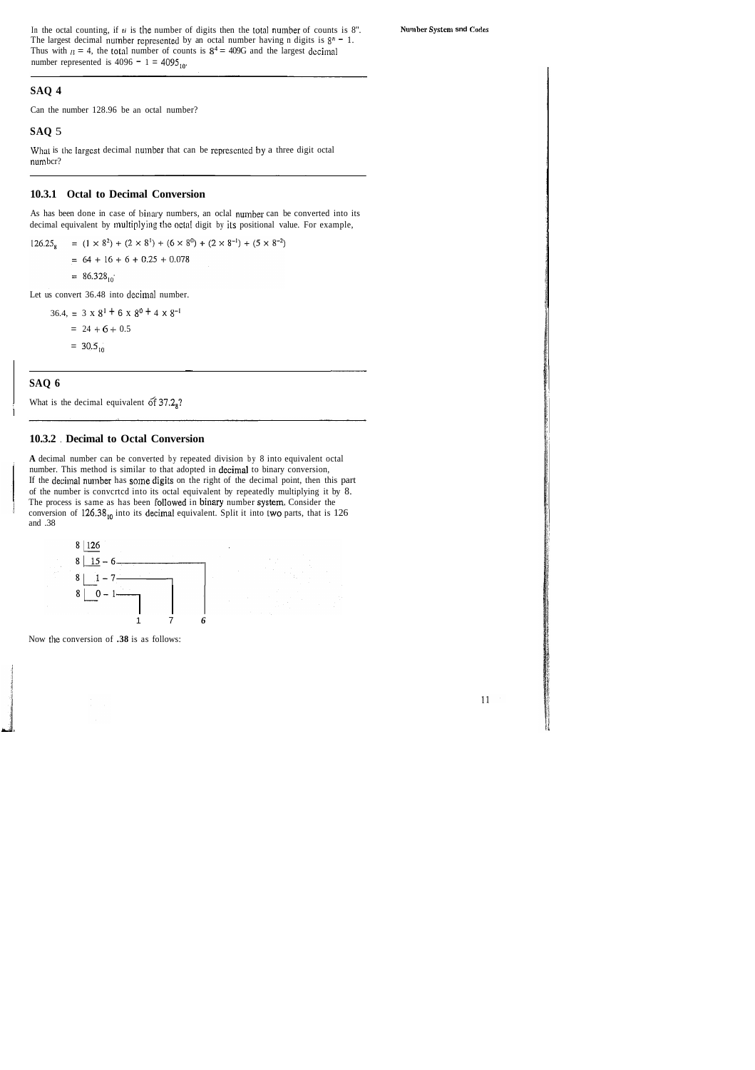In the octal counting, if  $\mathbf{t}$  is the number of digits then the total number of counts is 8". Number System **snd** Codes The largest decimal number represented by an octal number having n digits is  $8<sup>n</sup> - 1$ . Thus with  $\mu = 4$ , the total number of counts is  $8^4 = 409G$  and the largest decimal number represented is  $4096 - 1 = 4095_{10}$ .

#### **SAQ 4**

Can the number 128.96 be an octal number?

#### **SAQ** 5

What is the largest decimal number that can be represented by a three digit octal numbcr?

#### **10.3.1 Octal to Decimal Conversion**

As has been done in case of binary numbers, an oclal number can be converted into its decimal equivalent by multiplying the octal digit by its positional value. For example,

=  $(1 \times 8^2)$  +  $(2 \times 8^1)$  +  $(6 \times 8^0)$  +  $(2 \times 8^{-1})$  +  $(5 \times 8^{-2})$  $126.25$  $= 64 + 16 + 6 + 0.25 + 0.078$  $= 86.328_{10}$ 

Let us convert 36.48 into decimal number.

36.4, =  $3 \times 8^{1}$  + 6 x  $8^{0}$  + 4 x  $8^{-1}$  $= 24 + 6 + 0.5$  $= 30.5_{10}$ 

#### **10.3.2** . **Decimal to Octal Conversion**

**A** decimal number can be converted by repeated division by 8 into equivalent octal number. This method is similar to that adopted in decimal to binary conversion, If the decimal number has some digits on the right of the decimal point, then this part of the number is convcrtcd into its octal equivalent by repeatedly multiplying it by 8. The process is same as has been followed in binary number system. Consider the conversion of  $126.38_{10}$  into its decimal equivalent. Split it into two parts, that is 126 and .38

:

What is the decimal equivalent of  $37.2<sub>8</sub>$ ?



Now the conversion of **.38** is as follows:

-. -

#### **SAQ 6**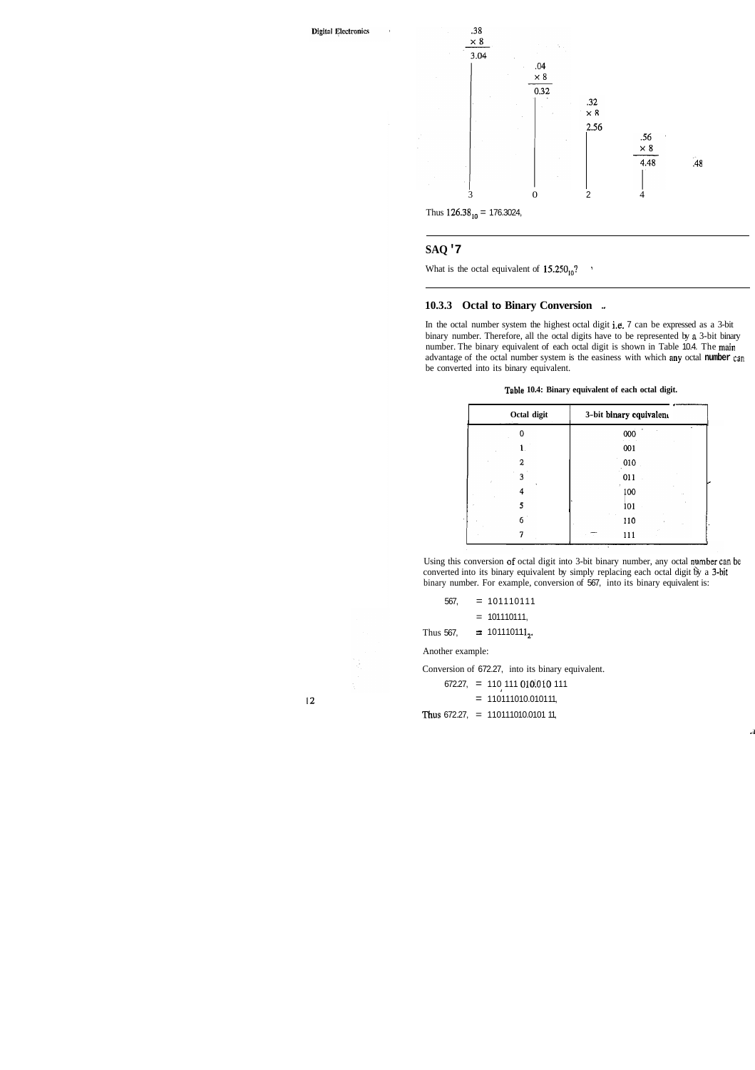

#### **SAQ '7**

What is the octal equivalent of  $15.250_{10}$ ?

#### **10.3.3 Octal to Binary Conversion** -.

In the octal number system the highest octal digit i.e. 7 can be expressed as a 3-bit binary number. Therefore, all the octal digits have to be represented by **n** 3-bit binary number. The binary equivalent of each octal digit is shown in Table 10.4. The main advantage of the octal number system is the easiness with which any octal **number can**  be converted into its binary equivalent.

#### **Table 10.4: Binary equivalent of each octal digit.**

|             | Table 10.4: Binary equivalent of each octal digit. |  |
|-------------|----------------------------------------------------|--|
| Octal digit | 3-bit binary equivalent                            |  |
|             | 000                                                |  |
|             | 001                                                |  |
| 2           | 010                                                |  |
|             | 011                                                |  |
|             | 100                                                |  |
|             | 101                                                |  |
| 6           | 110                                                |  |
|             | 111                                                |  |

Using this conversion af octal digit into 3-bit binary number, any octal nymber can **bc**  converted into its binary equivalent by simply replacing each octal digit by a 3-bjt binary number. For example, conversion of 567, into its binary equivalent is:

Another example:

Conversion of 672.27, into its binary equivalent.

672.27, = 110 111 010!010 111 **<sup>I</sup>**

 $= 110111010.010111,$ 

Thus 672.27,  $= 110111010.010111,$ 

 $12 \,$ 

.i

 $567$ ,  $= 101110111$ 

 $= 101110111,$ 

Thus 567,  $\qquad \Rightarrow 101110111_2$ .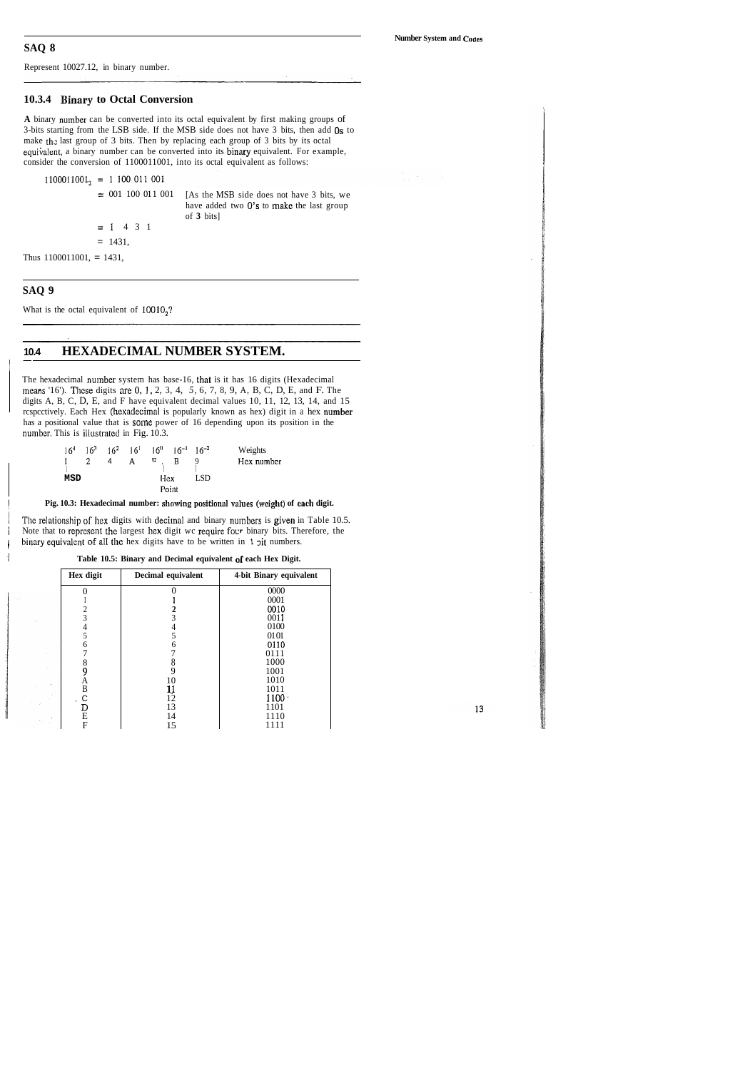Represent 10027.12, in binary number.

#### **10.3.4 Binary to Octal Conversion**

**A** binary nuinber can be converted into its octal equivalent by first making groups of 3-bits starting from the LSB side. If the MSB side does not have 3 bits, then add 0s to make the last group of 3 bits. Then by replacing each group of 3 bits by its octal equivalent, a binary number can be converted into its binary equivalent. For example, consider the conversion of 1100011001, into its octal equivalent as follows:

$$
1100011001_2 = 1\ 100\ 011\ 001
$$

- $= 001 100 011 001$  [As the MSB side does not have 3 bits, we
	- have added two 0's to make the last group of **3** bits]
	- $= 1$  4 3 1
	- $= 1431,$

Thus  $1100011001$ , = 1431,

#### **SAQ 9**

What is the octal equivalent of  $10010<sub>2</sub>$ ?

## **10.4 HEXADECIMAL NUMBER SYSTEM.**

The hexadecimal number system has base-16, that is it has 16 digits (Hexadecimal ~neans '16'). Thcse digits are 0, 1, 2, 3, 4, *5,* 6, 7, 8, 9, A, B, C, D, E, and F. The digits A, B, C, D, E, and F have equivalent decimal values 10, 11, 12, 13, 14, and 15 rcspcctively. Each Hex (hexadecimal is popularly known as hex) digit in a hex number has a positional value that is some power of 16 depending upon its position in the number. This is illustrated in Fig. 10.3.

| 16 <sup>4</sup> |   |   |              | $16^3$ $16^2$ $16^1$ $16^0$ $16^{-1}$ $16^{-2}$ |       |     | Weights    |
|-----------------|---|---|--------------|-------------------------------------------------|-------|-----|------------|
| L               | 2 | 4 | $\mathbf{A}$ | Я.                                              | В     |     | Hex number |
| MSD             |   |   |              | Hex                                             |       | LSD |            |
|                 |   |   |              |                                                 | Point |     |            |

#### Pig. 10.3: Hexadecimal number: showing positional values (weight) of each digit.

The relationship of hex digits with decimal and binary numbers is given in Table 10.5. / Note that to represent the largest hex digit wc require four binary bits. Therefore, the i binary equivalent of all the hex digits have to be written in  $\mathbf{1}$  pit numbers.

| Table 10.5: Binary and Decimal equivalent of each Hex Digit. |
|--------------------------------------------------------------|
|                                                              |

| Hex digit | Decimal equivalent | 4-bit Binary equivalent |
|-----------|--------------------|-------------------------|
|           |                    | 0000                    |
|           |                    | 0001                    |
| 2         |                    | 0010                    |
| 3         | 3                  | 0011                    |
| 4         | 4                  | 0100                    |
| 5         | 5                  | 0101                    |
| 6         | 6                  | 0110                    |
|           |                    | 0111                    |
| 8         | 8                  | 1000                    |
| 9         | 9                  | 1001                    |
| Α         | 10                 | 1010                    |
| B         | 1Į                 | 1011                    |
|           | 12                 | $1100 \cdot$            |
|           | 13                 | 1101                    |
| Е         | 14                 | 1110                    |
| F         | 15                 | 1111                    |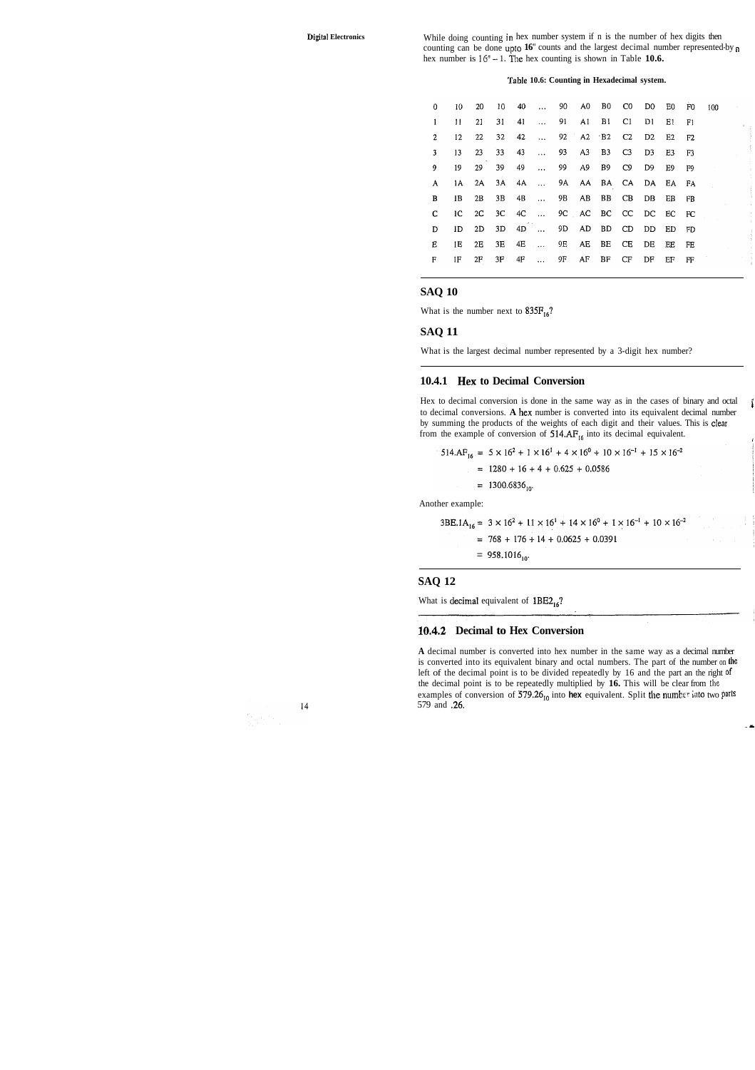**Digital Electronics** While doing counting in hex number system if n is the number of hex digits then counting can be done upto **16"** counts and the largest decimal number represented-by <sup>a</sup> hex number is  $16^n - 1$ . The hex counting is shown in Table **10.6.** 

#### **Tnble 10.6: Counting in Hexadecimal system.**

| 0              | 10  | 20 |    |       |              | 10 40  90 A0 B0 C0             |       |             | D0                | E0             | F0              | 100 |
|----------------|-----|----|----|-------|--------------|--------------------------------|-------|-------------|-------------------|----------------|-----------------|-----|
| $\mathbf{1}$   | 11  | 21 | 31 | 41    | $\mathbf{1}$ |                                |       | 91 A1 B1 C1 | D1                | E1             | F1              |     |
| $\overline{2}$ | 12  | 22 | 32 | 42    | $\mathbf{a}$ |                                |       | 92 A2 B2 C2 | D2                | E2             | F2              |     |
| 3              | 13  | 23 | 33 | 43    | $\mathbf{A}$ |                                |       | 93 A3 B3 C3 | D <sub>3</sub>    | E3             | F3              |     |
| 9              | 19  | 29 | 39 | 49    | $\cdots$     |                                |       | 99 A9 B9 C9 | D9.               | E <sub>9</sub> | F9              |     |
| A              | IA. | 2A | 3A |       |              | 4A  9A AA BA CA DA EA          |       |             |                   |                | - FA            |     |
| B              | 1B  | 2B | 3B |       |              | 4B  9B AB BB CB DB EB          |       |             |                   |                | FB              |     |
| C              | 1C  |    |    |       |              | 2C 3C 4C  9C AC BC CC DC EC FC |       |             |                   |                |                 |     |
| D              | 1D  | 2D |    | 3D 4D |              |                                |       |             | 9D AD BD CD DD ED |                | FD <sub>1</sub> |     |
| E.             | 1E  | 2E | 3E |       |              | 4E  9E AE BE CE                |       |             | DE                | EE             | FE              |     |
| F              | 1F. | 2F | 3F | 4F    | $\cdots$     | 9F -                           | AF BF | CF          | DF                | EF             | FF              |     |

#### **SAQ 10**

What is the number next to  $835F_{16}$ ?

#### **SAQ 11**

What is the largest decimal number represented by a 3-digit hex number?

#### **10.4.1 Hex to Decimal Conversion**

Hex to decimal conversion is done in the same way as in the cases of binary and octal to decimal conversions. **A** hex number is converted into its equivalent decimal number ' by summing the products of the weights of each digit and their values. This is clear from the example of conversion of 514.AF<sub>16</sub> into its decimal equivalent.

**1** 

Another example:

$$
3BE.1A16 = 3 \times 162 + 11 \times 161 + 14 \times 160 + 1 \times 16-1 + 10 \times 16-2
$$
  
= 768 + 176 + 14 + 0.0625 + 0.0391

 $= 958.1016_{10}$ 

#### **SAQ 12**

What is decimal equivalent of  $1BE2_{16}$ ?

#### **10.4.2 Decimal to Hex Conversion**

**A** decimal number is converted into hex number in the same way as a decimal number is converted into its equivalent binary and octal numbers. The part of the number on **the**  left of the decimal point is to be divided repeatedly by 16 and the part an the right **of**  the decimal point is to be repeatedly multiplied by **16.** This will be clear from the examples of conversion of 579.26<sub>10</sub> into **hex** equivalent. Split the number into two parts 579 and **.26.** 



- **L** 

 $514.AF_{16} = 5 \times 16^2 + 1 \times 16^1 + 4 \times 16^0 + 10 \times 16^{-1} + 15 \times 16^{-2}$  $= 1280 + 16 + 4 + 0.625 + 0.0586$ 

 $= 1300.6836_{10}$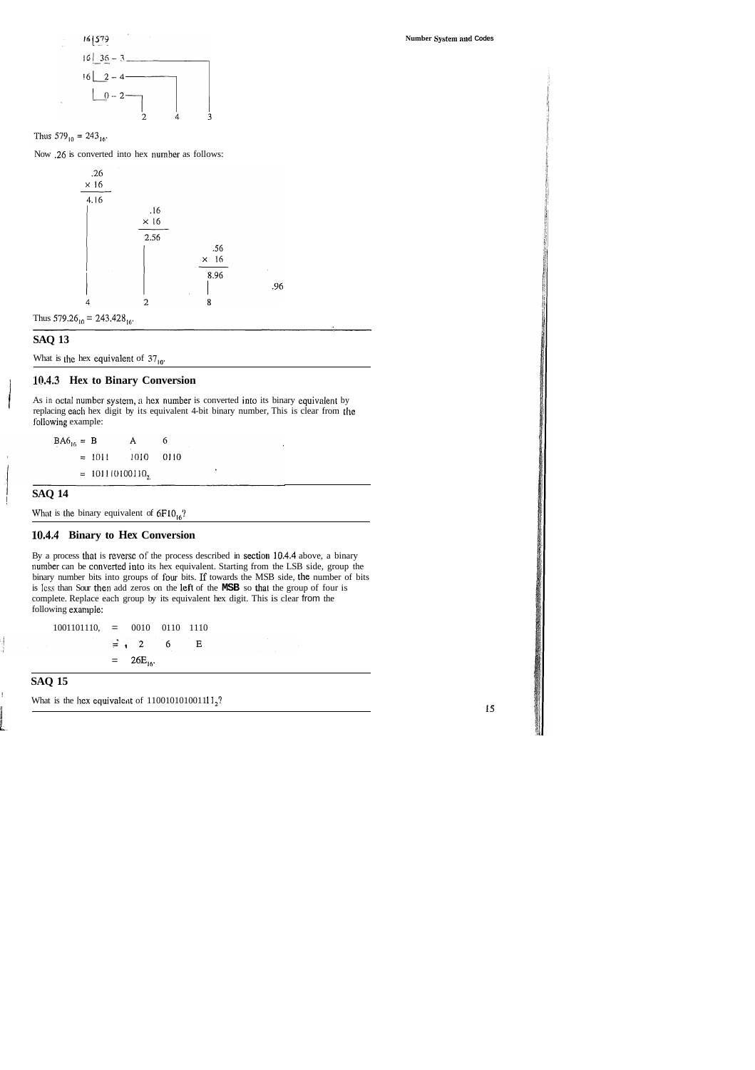

Thus  $579_{10} = 243_{16}$ .

Now .26 is converted into hex number as follows:



Thus  $579.26_{10} = 243.428_{16}$ .

#### **SAQ 13**

What is the hex equivalent of  $37_{10}$ .

#### 1 **10.4.3 Hex to Binary Conversion**

As in octal number system, a hex number is converted into its binary equivalent by replacing each hex digit by its equivalent 4-bit binary number, This is clear from thc I'ollowing example:

.96

 $B A 6_{16} = B$  $\boldsymbol{6}$  $\mathbf A$  $= 1011$ 1010 0110  $= 101110100110<sub>2</sub>$ 

#### <sup>1</sup>**SAQ 14** !

What is the binary equivalent of  $6F10_{16}$ ?

#### **10.4.4 Binary to Hex Conversion**

By a process that is reverse of the process described in section 10.4.4 above, a binary number can be converted into its hex equivalent. Starting from the LSB side, group the binary number bits into groups of four bits. If towards the MSB side, the number of bits is lcss than Sour then add zeros on the left of the **MSB** so thal the group of four is complete. Replace each group by its equivalent hex digit. This is clear from the following example:

1001101110, = 0010 0110 1110  $\equiv$   $\sqrt{2}$  $\boldsymbol{6}$  $\mathbf{E}$  $= 26E_{16}$ .

### **SAQ 15**

What is the hex equivalent of  $110010101001111_2$ ?

 $15$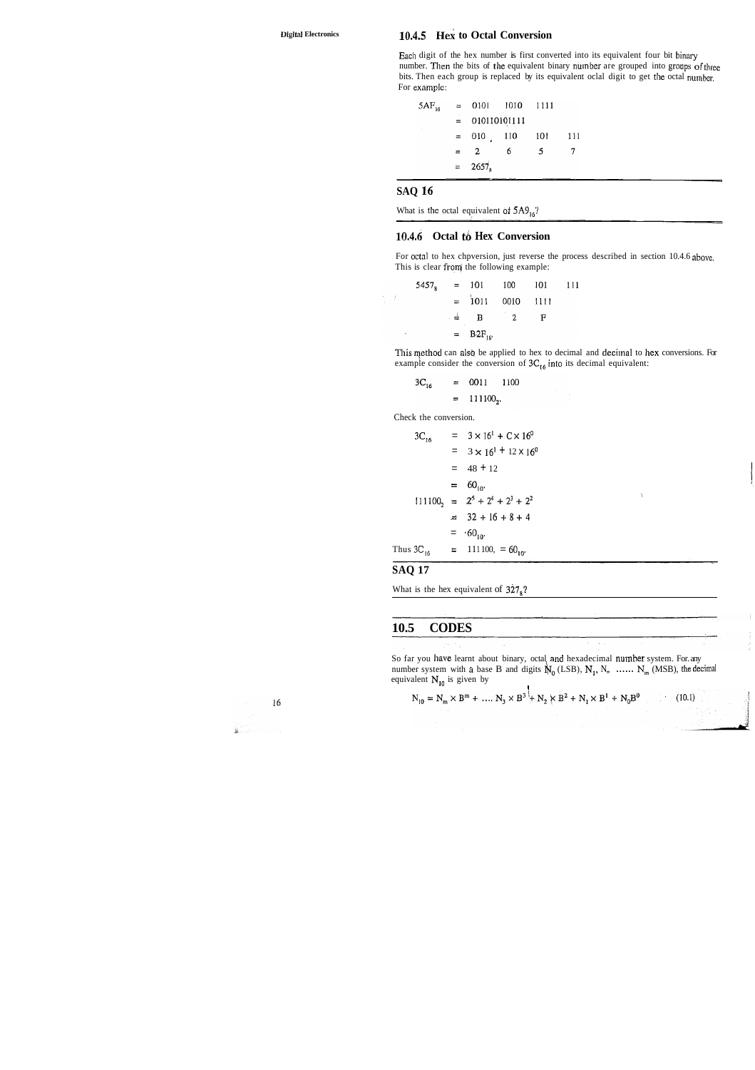#### 10.4.5 Hex to Octal Conversion

Each digit of the hex number is first converted into its equivalent four bit binary number. Then the bits of the equivalent binary number are grouped into groups of three bits. Then each group is replaced by its equivalent oclal digit to get the octal number. For example:

 $= 0101$  $5AF_{16}$ 1010 1111  $= 010110101111$  $010 - 110$ 101 111  $=$  $\overline{2}$ 6 5  $\overline{7}$  $\equiv$  $2657_{\rm s}$  $=$ 

#### **SAQ 16**

What is the octal equivalent of  $5A9_{16}$ ?

#### 10.4.6 Octal to Hex Conversion

For octal to hex chpversion, just reverse the process described in section 10.4.6 above. This is clear from the following example:

|   |  | $54578 = 101$ 100 101   |   | $-11$ |
|---|--|-------------------------|---|-------|
| ÷ |  | $= 1011 0010 1111$      |   |       |
|   |  | $\pm$ B 2               | Е |       |
| ٠ |  | $=$ B2F <sub>16</sub> . |   |       |

This method can also be applied to hex to decimal and decimal to hex conversions. For example consider the conversion of  $3C_{16}$  into its decimal equivalent:

$$
3C_{16} = 0011 1100
$$
  
= 111100<sub>2</sub>.

Check the conversion.

$$
3C_{16} = 3 \times 16^{1} + C \times 16^{0}
$$
  
= 3 \times 16^{1} + 12 \times 16^{0}  
= 48 + 12  
= 60<sub>10</sub>.  

$$
111100_{2} = 2^{5} + 2^{4} + 2^{3} + 2^{2}
$$
  
= 32 + 16 + 8 + 4  
= 60<sub>10</sub>.  
Thus 3C<sub>16</sub> = 111100, = 60<sub>10</sub>.

#### **SAQ 17**

What is the hex equivalent of  $327_8$ ?

#### 10.5 **CODES**

So far you have learnt about binary, octal and hexadecimal number system. For any number system with a base B and digits  $\mathbb{N}_0$  (LSB),  $N_1$ ,  $N_n$  ......  $N_m$  (MSB), the decimal equivalent  $N_{10}$  is given by

$$
N_{10} = N_m \times B^m + \dots, N_3 \times B^3 + N_2 \times B^2 + N_1 \times B^1 + N_0 B^0
$$
 (10.1)

 $16$  $\frac{1}{20}$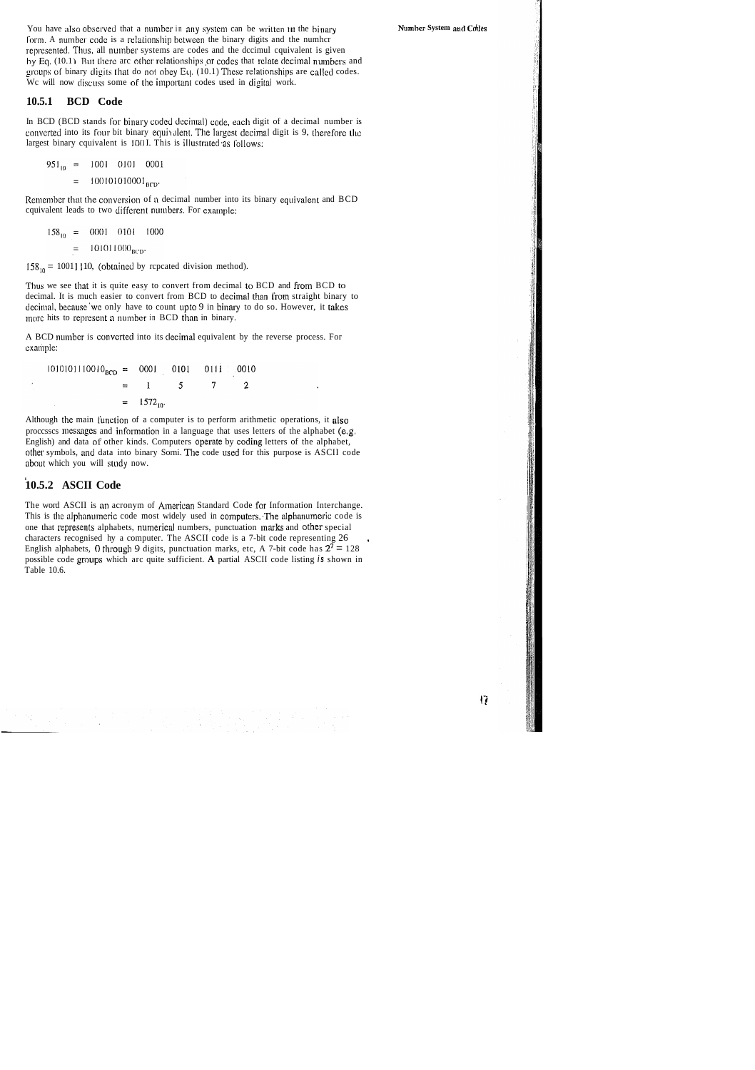You have also observed that a number in any system can be written in the binary form. A number code is a relationship between the binary digits and the number represented. Thus, all number systems are codes and the dccimul cquivalent is given by Eq. (10.1) But there arc other relationships or codes that relate decimal numbers and groups of binary digits that do not obey Eq. (10.1) These relationships are called codes. We will now discuss some of the important codes used in digital work.

#### 10.5.1 BCD Code

In BCD (BCD stands for binary coded decimal) code, each digit of a decimal number is converted into its four bit binary equivalent. The largest decimal digit is 9, therefore the largest binary cquivalent is 1001. This is illustrated as follows:

$$
951_{10} = 1001 \quad 0101 \quad 0001
$$

$$
= 100101010001_{BCD}.
$$

Remember that the conversion of a decimal number into its binary equivalent and BCD cquivalent leads to two different numbers. For example:

$$
158_{10} = 0001 - 0101 - 1000
$$
  
= 101011000<sub>BCD</sub>.

 $158_{10} = 10011110$ , (obtained by repeated division method).

Thus we see that it is quite easy to convert from decimal to BCD and from BCD to decimal. It is much easier to convert from BCD to decimal than from straight binary to decimal, because we only have to count upto 9 in binary to do so. However, it takes more hits to represent a number in BCD than in binary.

A BCD number is converted into its decimal equivalent by the reverse process. For example:

| $1010101110010BCD = 0001 0101 0111 0010$ |          |                        |  |  |
|------------------------------------------|----------|------------------------|--|--|
|                                          | $\equiv$ | $1 \quad 5$            |  |  |
|                                          |          | $=$ 1572 <sub>to</sub> |  |  |

Although the main function of a computer is to perform arithmetic operations, it also processes messages and information in a language that uses letters of the alphabet (e.g. English) and data of other kinds. Computers operate by coding letters of the alphabet, other symbols, and data into binary Sorni. The code used for this purpose is ASCII code about which you will study now.

#### 10.5.2 ASCII Code

The word ASCII is an acronym of American Standard Code for Information Interchange. This is the alphanumeric code most widely used in computers. The alphanumeric code is one that represents alphabets, numerical numbers, punctuation marks and other special characters recognised hy a computer. The ASCII code is a 7-bit code representing 26 English alphabets, 0 through 9 digits, punctuation marks, etc, A 7-bit code has  $2^7 = 128$ possible code groups which arc quite sufficient. A partial ASCII code listing is shown in Table 10.6.

I7.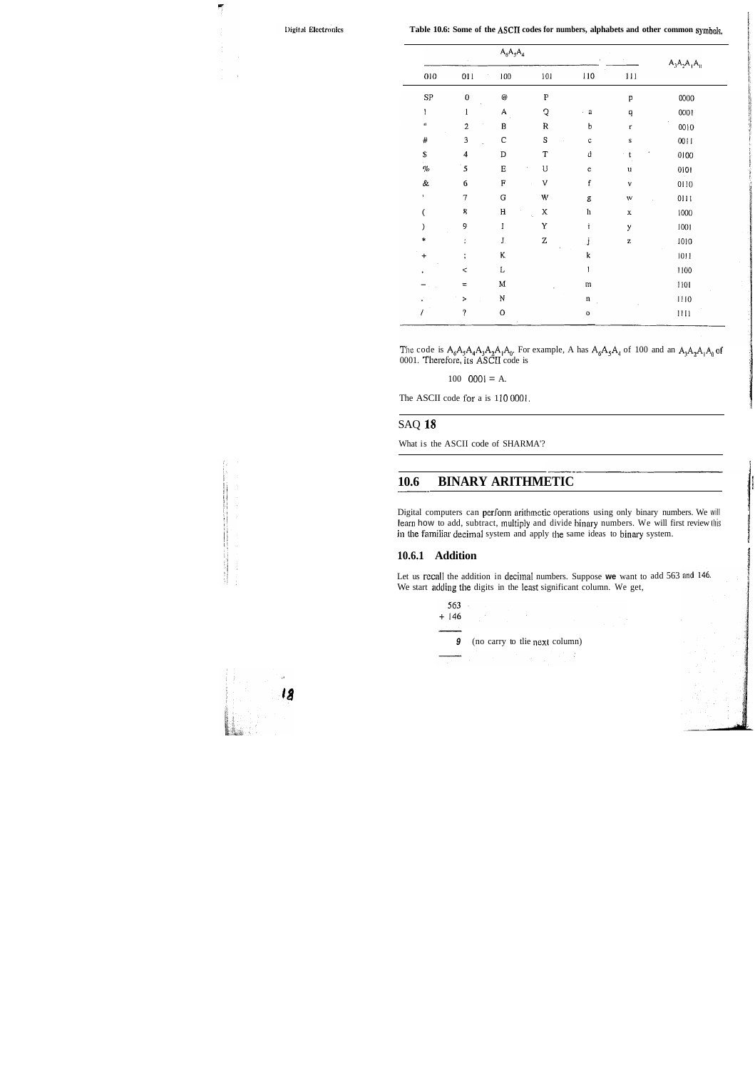$\overline{\mathcal{L}}$ 

Table 10.6: Some of the ASCII codes for numbers, alphabets and other common symbols,

|                    |                          |                           | $A_6A_5A_4$ |                |              | $A_3A_2A_1A_0$ |
|--------------------|--------------------------|---------------------------|-------------|----------------|--------------|----------------|
| 010                | 011                      | 100                       | 101         | 110            | 111          |                |
| ${\rm SP}$         | $\pmb{0}$                | $\omega$                  | ${\bf P}$   |                | p            | 0000           |
| ļ                  | $\mathbf{1}$             | $\boldsymbol{\mathsf{A}}$ | Q           | $\rm{a}$<br>ł, | $\mathbf q$  | 0001           |
| H.                 | $\overline{c}$           | $\, {\bf B}$              | ${\sf R}$   | $\mathsf b$    | $\mathbf{r}$ | 0010           |
| $\#$               | $\overline{\mathbf{3}}$  | $\mathsf{C}$              | ${\bf S}$   | $\mathbf c$    | ${\bf S}$    | 0011           |
| \$                 | $\overline{\mathcal{A}}$ | $\, {\bf D}$              | T           | d              | $\mathbf t$  | 0100           |
| $\%$               | 5                        | $\mathbf E$               | U           | $\mathbf c$    | u            | 0101           |
| $\&$               | 6                        | ${\bf F}$                 | V           | $\mathbf f$    | V            | 0110           |
| $\pmb{\mathsf{1}}$ | $\tau$                   | ${\bf G}$                 | W           | g              | $\mathbf{W}$ | 0111           |
| $\overline{(}$     | Ŗ                        | $\rm H$                   | X<br>i,     | $\mathbf{h}$   | $\mathbf x$  | 1000           |
| $\mathcal{Y}$      | 9                        | $\bf I$                   | Y           | İ              | у            | 1001           |
| $\ast$             | $\ddot{\phantom{a}}$     | $\mathbf{J}_{\cdot}$      | Z           | j              | z            | 1010           |
| $\ddot{}$          | $\ddot{\phantom{a}}$     | K.                        |             | ${\bf k}$      |              | 1011           |
| ٠                  | $\,<$                    | $\mathbf L$               |             | $\mathbf{1}$   |              | 1100           |
|                    | $=$                      | $\mathbf M$               |             | m              |              | 1101           |
|                    | >                        | ${\bf N}$                 |             | $\mathbf n$    |              | 1110           |
|                    | ?                        | $\mathbf 0$               |             | $\mathbf 0$    |              | $1111$         |

The code is  $A_0A_3A_4A_1A_2A_1A_0$ . For example, A has  $A_0A_3A_4$  of 100 and an  $A_1A_2A_1A_0$  of 0001. Therefore, ils ASCII code is

 $100 \quad 0001 = A$ .

The ASCII code for a is 110 0001.

#### SAQ **18**

What is the ASCII code of SHARMA'?

## **10.6 BINARY ARITHMETIC**

Digital computers can perform arithmetic operations using only binary numbers. We will learn how to add, subtract, multiply and divide binary numbers. We will first review this in the familiar decimal system and apply the same ideas to binary system.

g

#### **10.6.1 Addition**

Let us recall the addition in decimal numbers. Suppose we want to add 563 We start adding the digits in the least significant column. We get,



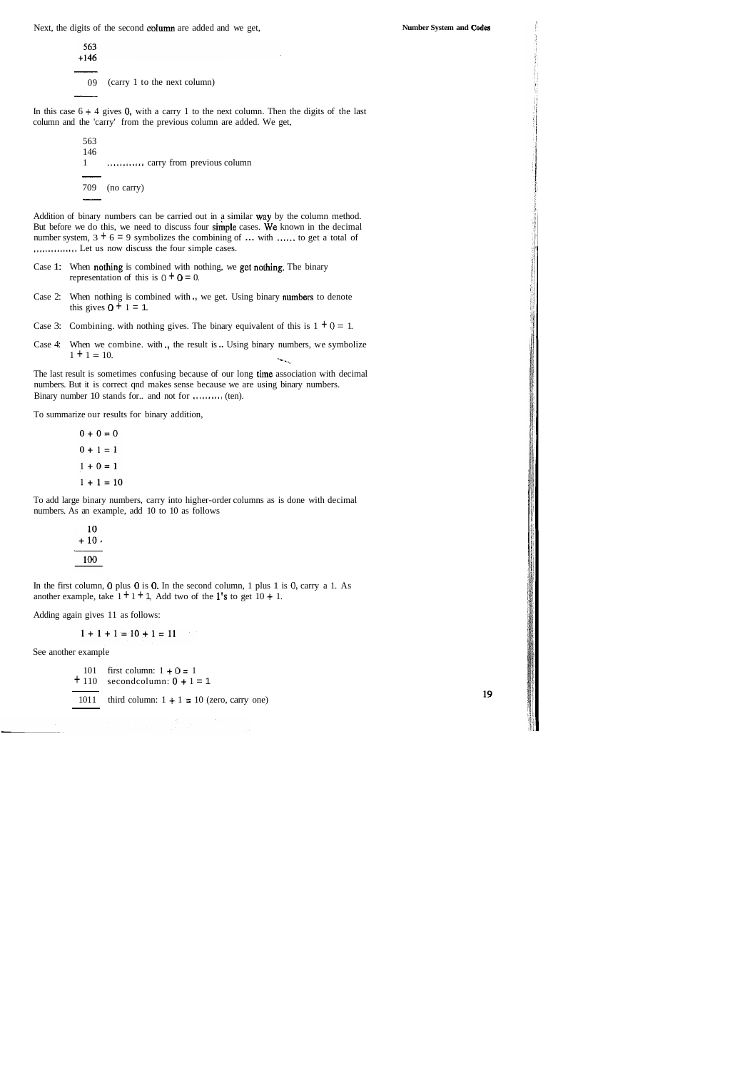Next, the digits of the second column are added and we get,

563  $+146$ 09 (carry 1 to the next column)

In this case  $6 + 4$  gives 0, with a carry 1 to the next column. Then the digits of the last column and the 'carry' from the previous column are added. We get,

563 146 1 ............ carry from previous column - 709 (no carry)  $\frac{146}{1}$  .....<br>  $\frac{709}{1}$  (no

Addition of binary numbers can be carried out in a similar way by the column method. But before we do this, we need to discuss four simple cases. We known in the decimal number system,  $3 + 6 = 9$  symbolizes the combining of ... with ...... to get a total of ............... Let us now discuss the four simple cases.

- Case 1: When nothing is combined with nothing, we get nothing. The binary representation of this is  $0 + 0 = 0$ .
- Case 2: When nothing is combined with ., we get. Using binary numbers to denote this gives  $0 + 1 = 1$ .
- Case 3: Combining. with nothing gives. The binary equivalent of this is  $1 + 0 = 1$ .
- Case 4: When we combine. with ., the result is .. Using binary numbers, we symbolize  $1 + 1 = 10$ .

The last result is sometimes confusing because of our long time association with decimal numbers. But it is correct qnd makes sense because we are using binary numbers. Binary number 10 stands for.. and not for .......... (ten).

To summarize our results for binary addition,

 $0 + 0 = 0$  $0 + 1 = 1$  $1 + 0 = 1$  $1 + 1 = 10$ 

To add large binary numbers, carry into higher-order columns as is done with decimal numbers. As an example, add 10 to 10 as follows

| 10<br>+ 10 , |  |
|--------------|--|
| 100          |  |

 $\overline{\phantom{0}}$ 

In the first column, 0 plus 0 is 0. In the second column, 1 plus 1 is 0, carry a 1. As another example, take  $1 + 1 + 1$ , Add two of the 1's to get  $10 + 1$ .

Adding again gives 11 as follows:

 $1 + 1 + 1 = 10 + 1 = 11$ 

See another example

101 first column:  $1 + 0 = 1$  $+ 110$  secondcolumn:  $0 + 1 = 1$ 

1011 third column:  $1 + 1 = 10$  (zero, carry one)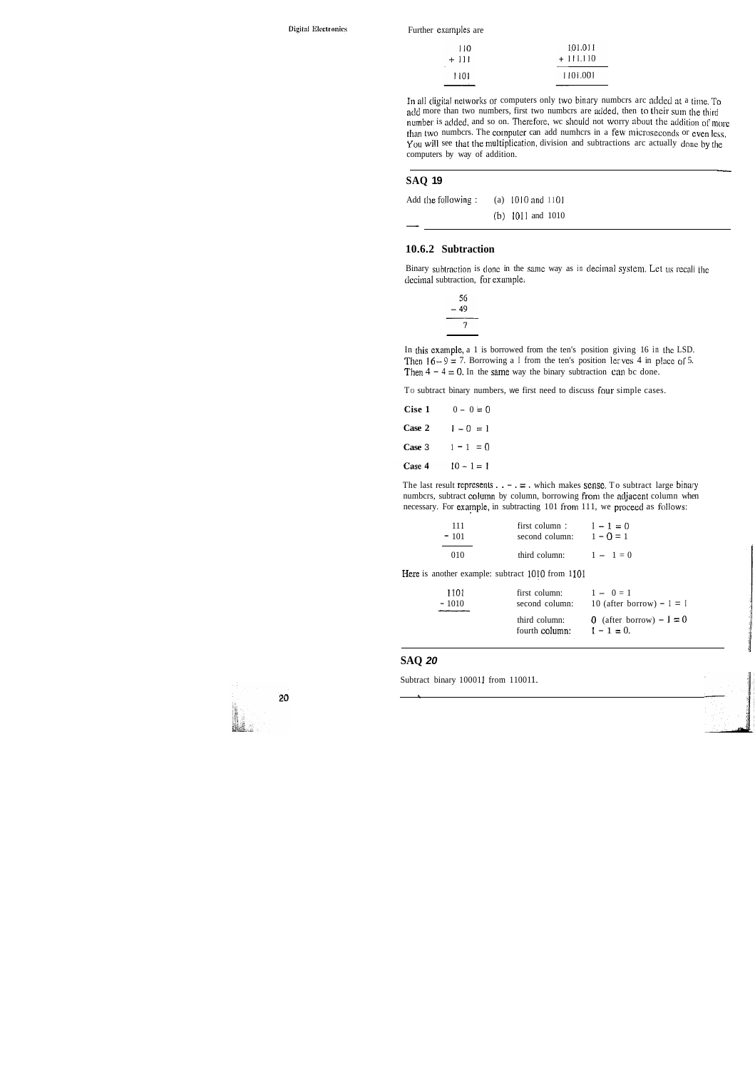Further examples are

| 110   | 101.011    |
|-------|------------|
| + 111 | $+111.110$ |
| -1101 | 1101.001   |

In all digital networks or computers only two binary numbcrs arc added at a time. To add more than two numbers, first two numbers are added, then to their sum the third number is added, and so on. Therefore, we should not worry about the addition of more than two numbcrs. The computer can add numhcrs in a few microseconds or even less, You will see that the multiplication, division and subtractions arc actually done by the computers by way of addition. -

In this example, a 1 is borrowed from the ten's position giving 16 in thc LSD. Then  $16 - 9 = 7$ . Borrowing a I from the ten's position lerves 4 in place of 5. Then  $4 - 4 = 0$ . In the same way the binary subtraction can be done.

To subtract binary numbers, we first need to discuss four simple cases.

#### **SAQ 19**

| Add the following: | (a) $1010$ and $1101$ |  |
|--------------------|-----------------------|--|
|                    | $(b)$ 1011 and 1010   |  |
|                    |                       |  |

#### **10.6.2 Subtraction**

Binary subtraction is done in the same way as in decimal system. Let us recall the decimal subtraction, for example.

| 56<br>- 49 |  |
|------------|--|
| 7          |  |

| Cise 1 | $0 - 0 = 0$  |
|--------|--------------|
| Case 2 | $1 - 0 = 1$  |
| Case 3 | $1 - 1 = 0$  |
| Case 4 | $10 - 1 = 1$ |

The last result represents  $\ldots - \ldots = \ldots$  which makes sense. To subtract large binary numbcrs, subtract column by column, borrowing from the adjacent column when necessary. For example, in subtracting 101 from 111, we proceed as follows:

| 111    | first column:  | $1 - 1 = 0$ |
|--------|----------------|-------------|
| $-101$ | second column: | $1 - 0 = 1$ |
| 010    | third column:  | $1 - 1 = 0$ |

Here is another example: subtract 1010 from 1101

| -1101   | first column:                   | $1 - 0 = 1$                                |
|---------|---------------------------------|--------------------------------------------|
| $-1010$ | second column:                  | 10 (after borrow) $-1 = 1$                 |
|         | third column:<br>fourth column: | 0 (after borrow) $-1 = 0$<br>$1 - 1 = 0$ . |

#### **SAQ 20**

*h* 

Subtract binary 100011 from 110011.

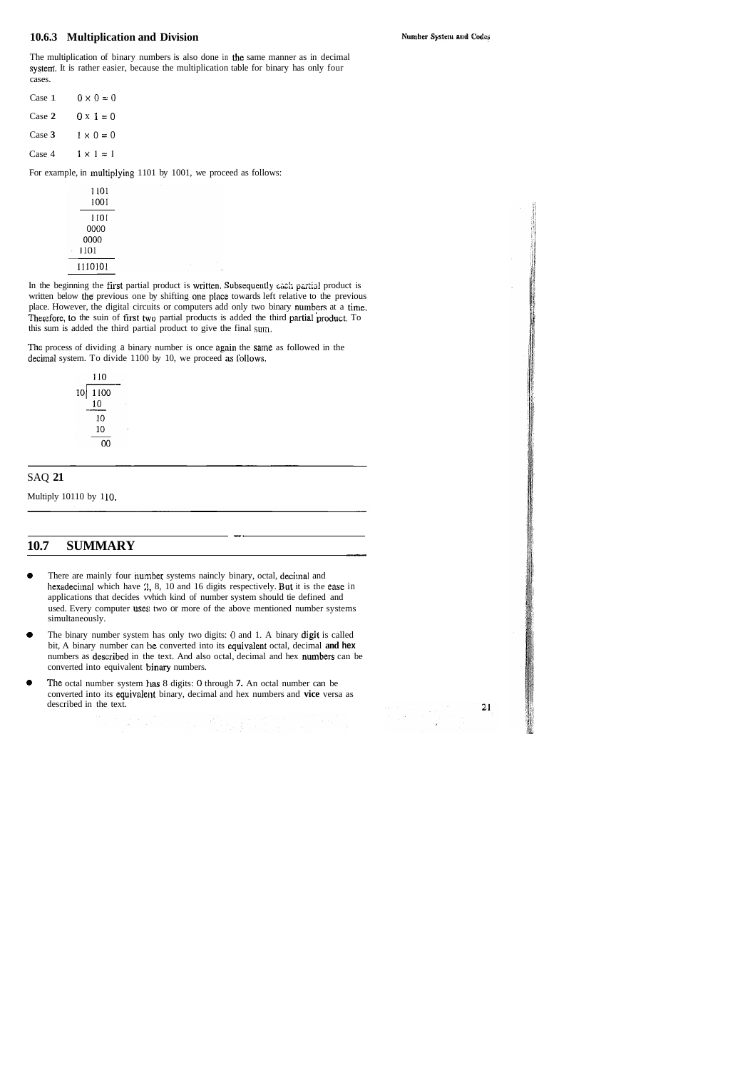#### **10.6.3 Multiplication and Division**

Number System and Codes

The multiplication of binary numbers is also done in the same manner as in decimal system. It is rather easier, because the multiplication table for binary has only four cases.

| Case 1 | $0 \times 0 = 0$ |
|--------|------------------|
| Case 2 | $0 \times 1 = 0$ |
| Case 3 | $1 \times 0 = 0$ |
| Case 4 | $1 \times 1 = 1$ |
|        |                  |

For example, in multiplying 1101 by 1001, we proceed as follows:

In the beginning the first partial product is written. Subsequently each partial product is written below the previous one by shifting one place towards left relative to the previous place. However, the digital circuits or computers add only two binary numbers at a time. Therefore, to the suin of first two partial products is added the third partial product. To this sum is added the third partial product to give the final suin.

 $\sim 0.1$ 

The process of dividing a binary number is once again the same as followed in the decimal system. To divide 1100 by 10, we proceed as follows.

| 110 |         |
|-----|---------|
|     |         |
| 10  |         |
| 10  |         |
| 10  |         |
| ሰበ  |         |
|     | 10 1100 |

- *8* The binary number system has only two digits: 0 and 1. A binary digit is called bit, A binary number can be converted into its equivalent octal, decimal and hex numbers as described in the text. And also octal, decimal and hex numbers can be converted into equivalent **binary** numbers.
- *8* The octal number system has 8 digits: 0 through **7.** An octal number can be converted into its equivalent binary, decimal and hex numbers and vice versa as described in the text.<br> **described** in the text.

 $\begin{split} \frac{\partial \mathbf{u}}{\partial t} & = \frac{1}{2} \left[ \begin{array}{cc} \mathbf{u} & \mathbf{u} \\ \mathbf{u} & \mathbf{u} \end{array} \right] \left[ \begin{array}{c} \mathbf{u} \\ \mathbf{u} \end{array} \right] \end{split}$ 

 $-21$ 

#### SAQ **21**

Multiply 10110 by 110.

# 10.7 SUMMARY **72.12 - 2006**

-.

*8* There are mainly four nuniber systems naincly binary, octal, decimal and hexadecimal which have 2, 8, 10 and 16 digits respectively. But it is the ease in applications that decides vvhich kind of number system should tie defined and used. Every computer uses: two or more of the above mentioned number systems simultaneously.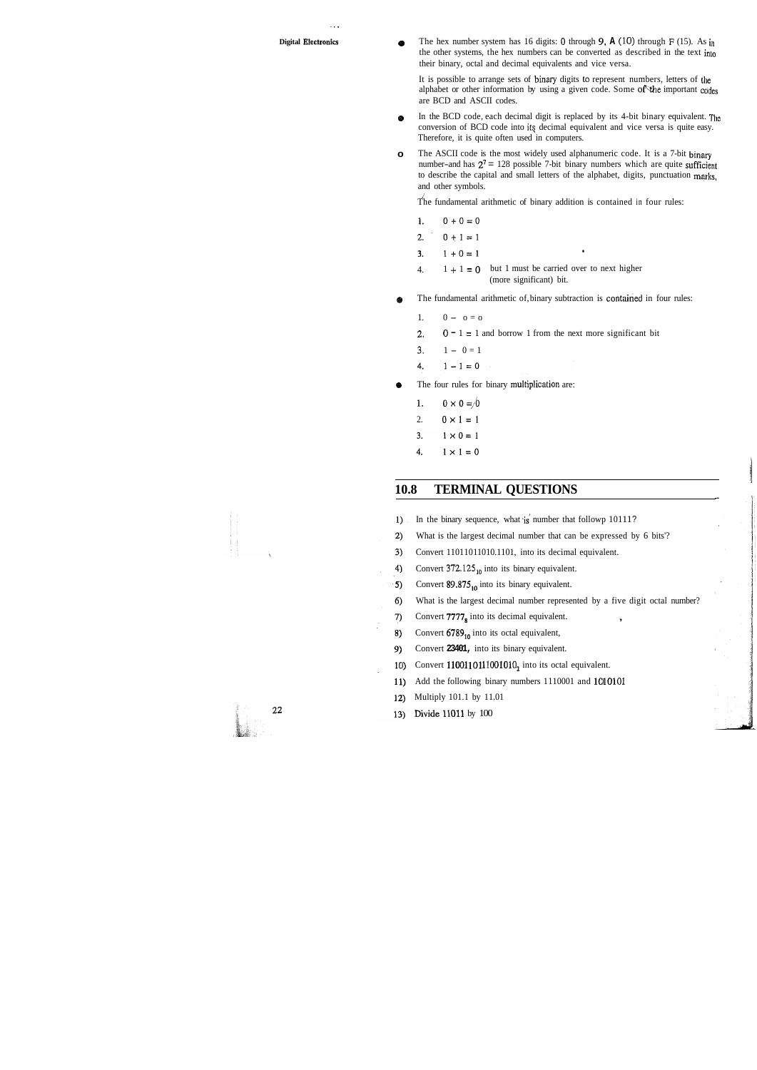. ..

**Digital Electronics e The hex number system has 16 digits: 0 through <b>9, A** (10) through F (15). As in the other systems, the hex numbers can be converted as described in the text inlo their binary, octal and decimal equivalents and vice versa.

> It is possible to arrange sets of binary digits to represent numbers, letters of the alphabet or other information by using a given code. Some of the important codes are BCD and ASCII codes.

- **o** In the BCD code, each decimal digit is replaced by its 4-bit binary equivalent. The conversion of BCD code into its decimal equivalent and vice versa is quite easy. Therefore, it is quite often used in computers.
- **o** The ASCII code is the most widely used alphanumeric code. It is a 7-bit binary number-and has  $2^7 = 128$  possible 7-bit binary numbers which are quite sufficient to describe the capital and small letters of the alphabet, digits, punctuation **mgks,**  and other symbols.

The fundamental arithmetic of binary addition is contained in four rules:

- $\mathbf{1}$ .  $0 + 0 = 0$
- $0 + 1 = 1$  $2.$
- $1 + 0 = 1$  $3.$
- 4.  $1 + 1 = 0$  but 1 must be carried over to next higher (more significant) bit.
- **e** The fundamental arithmetic of, binary subtraction is contained in four rules:
	- 1.  $0 0 = 0$
	- 2.  $0 1 = 1$  and borrow 1 from the next more significant bit
	- $3. 1 0 = 1$
	- 4.  $1 - 1 = 0$
- The four rules for binary multiplication are:  $\bullet$ 
	- 1.  $0 \times 0 = 0$
	- 2.  $0 \times 1 = 1$
	- 3.  $1 \times 0 = 1$
	- 4.  $1 \times 1 = 0$

#### **10.8 TERMINAL QUESTIONS**

- In the binary sequence, what is number that followp 10111?  $1)$
- $2)$ What is the largest decimal number that can be expressed by 6 bits'?
- Convert 11011011010.1101, into its decimal equivalent.  $3)$
- 4) Convert  $372.125_{10}$  into its binary equivalent.
- Convert 89.875<sub>10</sub> into its binary equivalent.  $5)$
- $6)$ What is the largest decimal number represented by a five digit octal number?
- 7) Convert  $7777<sub>8</sub>$  into its decimal equivalent.
- Convert 6789<sub>10</sub> into its octal equivalent, 8)
- 9) Convert **23401,** into its binary equivalent.
- Convert  $1100110111001010_2$  into its octal equivalent.  $10)$
- Add the following binary numbers 1110001 and 1C10101 11)
- $12)$ Multiply 101.1 by 11.01
- 13) Divide 11011 by 100

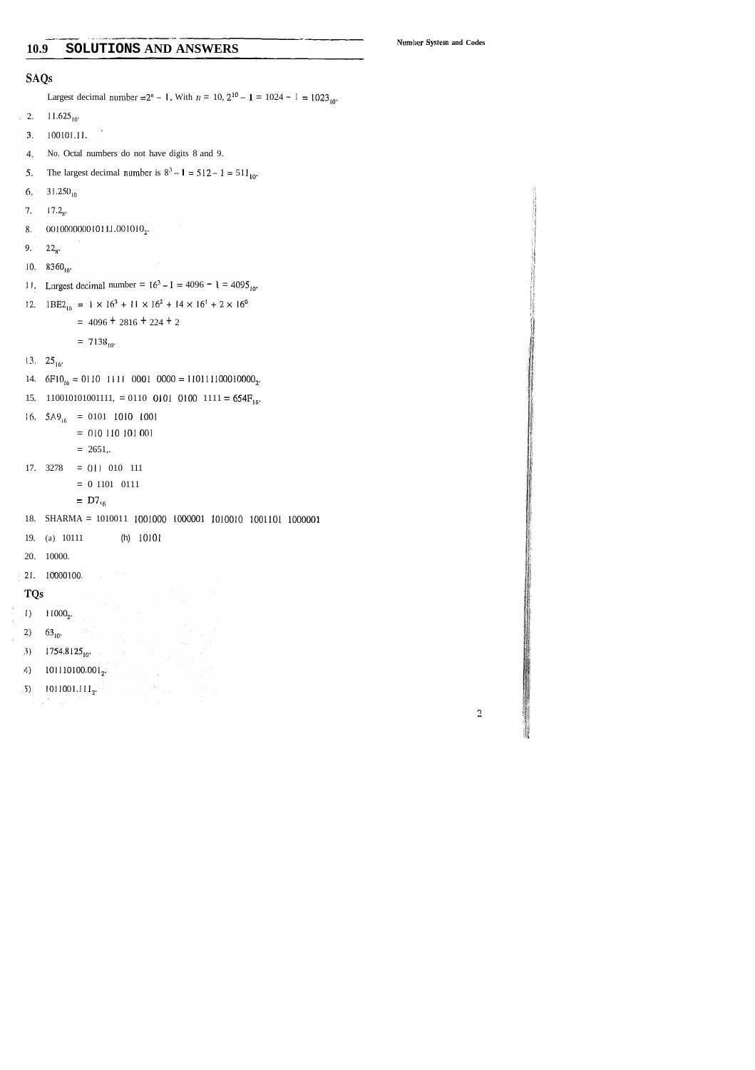#### SOLUTIONS AND ANSWERS 10.9

Number System and Codes

#### **SAQs**

Largest decimal number =  $2^n - 1$ . With  $n = 10$ ,  $2^{10} - 1 = 1024 - 1 = 1023_{10}$ .

- $11.625_{10}$  $\therefore$  2.
- $100101.11.$  $3.$
- No. Octal numbers do not have digits 8 and 9. 4.
- The largest decimal number is  $8^3 1 = 512 1 = 511_{10}$ . 5.
- $31.250_{10}$ 6,
- $7.$  $17.2<sub>8</sub>$
- 00100000001011,1.001010<sub>2</sub>. 8.
- 9.  $22_{8}$
- 10.  $8360_{16}$
- 11. Largest decimal number =  $16^3 1 = 4096 1 = 4095_{10}$ .

 $\sim$ 

12.  $1\text{BE2}_{16} = 1 \times 16^3 + 11 \times 16^2 + 14 \times 16^1 + 2 \times 16^0$ 

 $= 4096 + 2816 + 224 + 2$ 

$$
= 7138_{10}
$$

- 13.  $25_{16}$
- 14.  $6F10_{16} = 0110$  1111 0001 0000 = 110111100010000<sub>2</sub>.
- 15. 11001010101111, = 0110 0101 0100 1111 =  $654F_{16}$ .
- 16.  $5A9_{16}$  = 0101 1010 1001
	- $= 010 110 101 001$
	- $= 2651,$
- 17.  $3278 = 011 010 111$ 
	- $= 0$  1101 0111
	- $=$  D7<sub>16</sub>
- 18. SHARMA = 1010011 1001000 1000001 1010010 1001101 1000001

 $\label{eq:2} \frac{1}{2}\sum_{i=1}^{N} \frac{1}{2} \sum_{j=1}^{N} \frac{1}{2} \sum_{j=1}^{N} \frac{1}{2} \sum_{j=1}^{N} \frac{1}{2} \sum_{j=1}^{N} \frac{1}{2} \sum_{j=1}^{N} \frac{1}{2} \sum_{j=1}^{N} \frac{1}{2} \sum_{j=1}^{N} \frac{1}{2} \sum_{j=1}^{N} \frac{1}{2} \sum_{j=1}^{N} \frac{1}{2} \sum_{j=1}^{N} \frac{1}{2} \sum_{j=1}^{N} \frac{1}{2} \sum_{$ 

- $(h)$  10101 19. (a) 10111
- 20. 10000.
- 21. 10000100.
- TQs
- $(1)$  11000<sub>2</sub>.
- 2)  $63_{10}$
- 3)  $1754.8125_{10}$
- $101110100.001_2$  $\left( 4 \right)$
- $(5)$  1011001.111<sub>2</sub>.
- $\mathcal{L} = \mathcal{L}^{(1)} \cup \mathcal{L}^{(2)}$